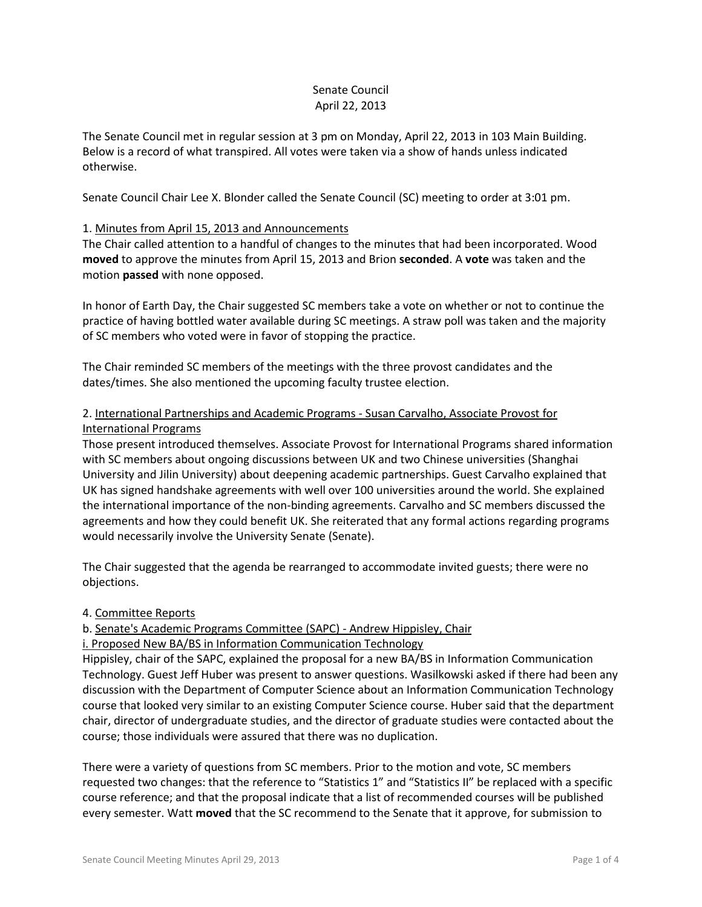### Senate Council April 22, 2013

The Senate Council met in regular session at 3 pm on Monday, April 22, 2013 in 103 Main Building. Below is a record of what transpired. All votes were taken via a show of hands unless indicated otherwise.

Senate Council Chair Lee X. Blonder called the Senate Council (SC) meeting to order at 3:01 pm.

### 1. Minutes from April 15, 2013 and Announcements

The Chair called attention to a handful of changes to the minutes that had been incorporated. Wood **moved** to approve the minutes from April 15, 2013 and Brion **seconded**. A **vote** was taken and the motion **passed** with none opposed.

In honor of Earth Day, the Chair suggested SC members take a vote on whether or not to continue the practice of having bottled water available during SC meetings. A straw poll was taken and the majority of SC members who voted were in favor of stopping the practice.

The Chair reminded SC members of the meetings with the three provost candidates and the dates/times. She also mentioned the upcoming faculty trustee election.

## 2. International Partnerships and Academic Programs - Susan Carvalho, Associate Provost for International Programs

Those present introduced themselves. Associate Provost for International Programs shared information with SC members about ongoing discussions between UK and two Chinese universities (Shanghai University and Jilin University) about deepening academic partnerships. Guest Carvalho explained that UK has signed handshake agreements with well over 100 universities around the world. She explained the international importance of the non-binding agreements. Carvalho and SC members discussed the agreements and how they could benefit UK. She reiterated that any formal actions regarding programs would necessarily involve the University Senate (Senate).

The Chair suggested that the agenda be rearranged to accommodate invited guests; there were no objections.

### 4. Committee Reports

### b. Senate's Academic Programs Committee (SAPC) - Andrew Hippisley, Chair

i. Proposed New BA/BS in Information Communication Technology

Hippisley, chair of the SAPC, explained the proposal for a new BA/BS in Information Communication Technology. Guest Jeff Huber was present to answer questions. Wasilkowski asked if there had been any discussion with the Department of Computer Science about an Information Communication Technology course that looked very similar to an existing Computer Science course. Huber said that the department chair, director of undergraduate studies, and the director of graduate studies were contacted about the course; those individuals were assured that there was no duplication.

There were a variety of questions from SC members. Prior to the motion and vote, SC members requested two changes: that the reference to "Statistics 1" and "Statistics II" be replaced with a specific course reference; and that the proposal indicate that a list of recommended courses will be published every semester. Watt **moved** that the SC recommend to the Senate that it approve, for submission to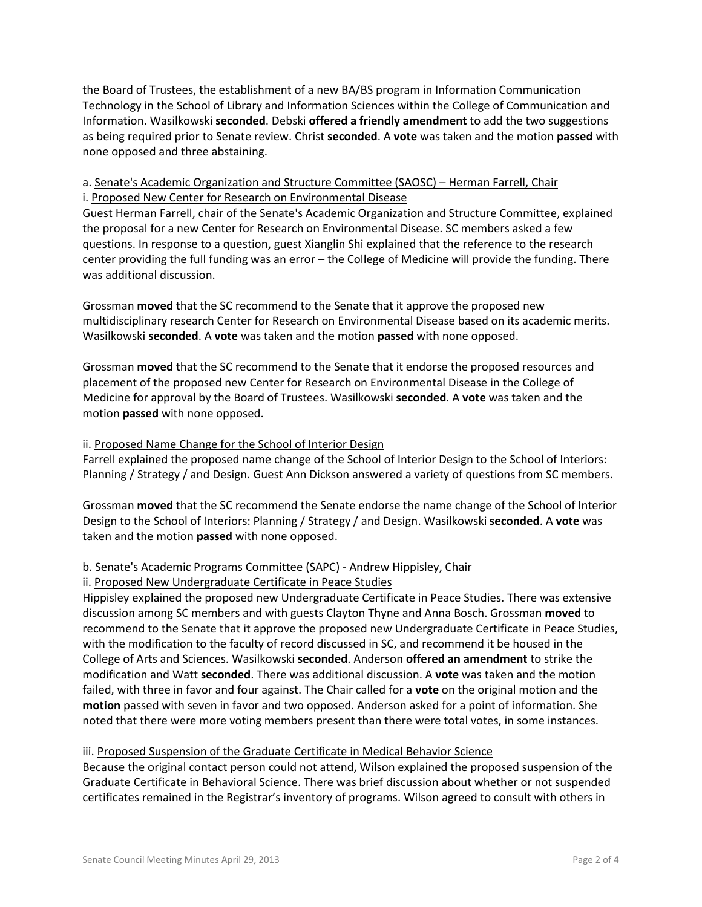the Board of Trustees, the establishment of a new BA/BS program in Information Communication Technology in the School of Library and Information Sciences within the College of Communication and Information. Wasilkowski **seconded**. Debski **offered a friendly amendment** to add the two suggestions as being required prior to Senate review. Christ **seconded**. A **vote** was taken and the motion **passed** with none opposed and three abstaining.

# a. Senate's Academic Organization and Structure Committee (SAOSC) – Herman Farrell, Chair i. Proposed New Center for Research on Environmental Disease

Guest Herman Farrell, chair of the Senate's Academic Organization and Structure Committee, explained the proposal for a new Center for Research on Environmental Disease. SC members asked a few questions. In response to a question, guest Xianglin Shi explained that the reference to the research center providing the full funding was an error – the College of Medicine will provide the funding. There was additional discussion.

Grossman **moved** that the SC recommend to the Senate that it approve the proposed new multidisciplinary research Center for Research on Environmental Disease based on its academic merits. Wasilkowski **seconded**. A **vote** was taken and the motion **passed** with none opposed.

Grossman **moved** that the SC recommend to the Senate that it endorse the proposed resources and placement of the proposed new Center for Research on Environmental Disease in the College of Medicine for approval by the Board of Trustees. Wasilkowski **seconded**. A **vote** was taken and the motion **passed** with none opposed.

## ii. Proposed Name Change for the School of Interior Design

Farrell explained the proposed name change of the School of Interior Design to the School of Interiors: Planning / Strategy / and Design. Guest Ann Dickson answered a variety of questions from SC members.

Grossman **moved** that the SC recommend the Senate endorse the name change of the School of Interior Design to the School of Interiors: Planning / Strategy / and Design. Wasilkowski **seconded**. A **vote** was taken and the motion **passed** with none opposed.

# b. Senate's Academic Programs Committee (SAPC) - Andrew Hippisley, Chair

### ii. Proposed New Undergraduate Certificate in Peace Studies

Hippisley explained the proposed new Undergraduate Certificate in Peace Studies. There was extensive discussion among SC members and with guests Clayton Thyne and Anna Bosch. Grossman **moved** to recommend to the Senate that it approve the proposed new Undergraduate Certificate in Peace Studies, with the modification to the faculty of record discussed in SC, and recommend it be housed in the College of Arts and Sciences. Wasilkowski **seconded**. Anderson **offered an amendment** to strike the modification and Watt **seconded**. There was additional discussion. A **vote** was taken and the motion failed, with three in favor and four against. The Chair called for a **vote** on the original motion and the **motion** passed with seven in favor and two opposed. Anderson asked for a point of information. She noted that there were more voting members present than there were total votes, in some instances.

# iii. Proposed Suspension of the Graduate Certificate in Medical Behavior Science

Because the original contact person could not attend, Wilson explained the proposed suspension of the Graduate Certificate in Behavioral Science. There was brief discussion about whether or not suspended certificates remained in the Registrar's inventory of programs. Wilson agreed to consult with others in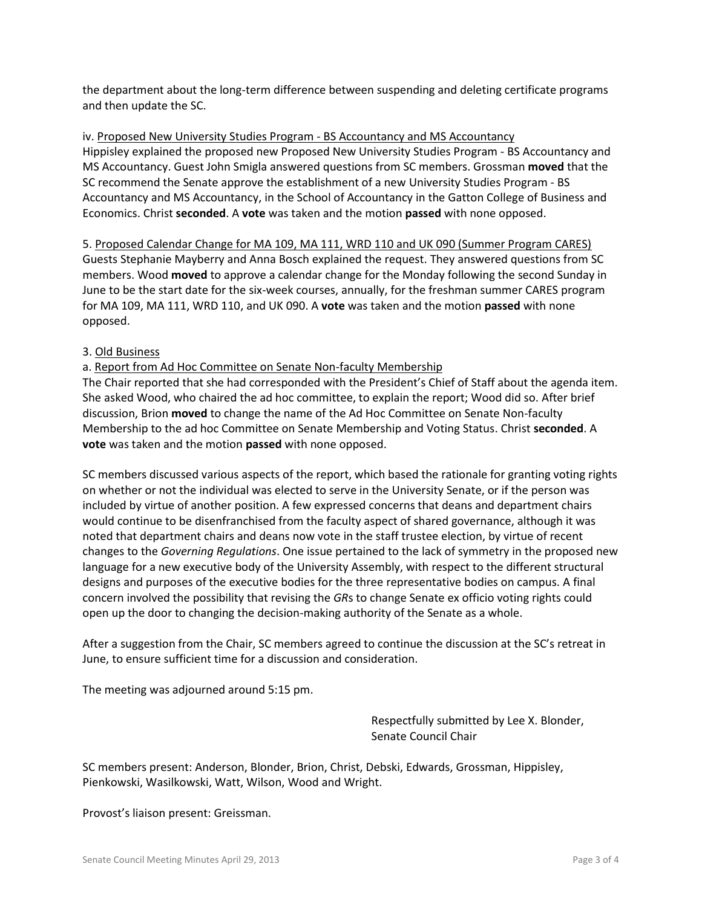the department about the long-term difference between suspending and deleting certificate programs and then update the SC.

iv. Proposed New University Studies Program - BS Accountancy and MS Accountancy Hippisley explained the proposed new Proposed New University Studies Program - BS Accountancy and MS Accountancy. Guest John Smigla answered questions from SC members. Grossman **moved** that the SC recommend the Senate approve the establishment of a new University Studies Program - BS Accountancy and MS Accountancy, in the School of Accountancy in the Gatton College of Business and Economics. Christ **seconded**. A **vote** was taken and the motion **passed** with none opposed.

5. Proposed Calendar Change for MA 109, MA 111, WRD 110 and UK 090 (Summer Program CARES) Guests Stephanie Mayberry and Anna Bosch explained the request. They answered questions from SC members. Wood **moved** to approve a calendar change for the Monday following the second Sunday in June to be the start date for the six-week courses, annually, for the freshman summer CARES program for MA 109, MA 111, WRD 110, and UK 090. A **vote** was taken and the motion **passed** with none opposed.

## 3. Old Business

a. Report from Ad Hoc Committee on Senate Non-faculty Membership

The Chair reported that she had corresponded with the President's Chief of Staff about the agenda item. She asked Wood, who chaired the ad hoc committee, to explain the report; Wood did so. After brief discussion, Brion **moved** to change the name of the Ad Hoc Committee on Senate Non-faculty Membership to the ad hoc Committee on Senate Membership and Voting Status. Christ **seconded**. A **vote** was taken and the motion **passed** with none opposed.

SC members discussed various aspects of the report, which based the rationale for granting voting rights on whether or not the individual was elected to serve in the University Senate, or if the person was included by virtue of another position. A few expressed concerns that deans and department chairs would continue to be disenfranchised from the faculty aspect of shared governance, although it was noted that department chairs and deans now vote in the staff trustee election, by virtue of recent changes to the *Governing Regulations*. One issue pertained to the lack of symmetry in the proposed new language for a new executive body of the University Assembly, with respect to the different structural designs and purposes of the executive bodies for the three representative bodies on campus. A final concern involved the possibility that revising the *GR*s to change Senate ex officio voting rights could open up the door to changing the decision-making authority of the Senate as a whole.

After a suggestion from the Chair, SC members agreed to continue the discussion at the SC's retreat in June, to ensure sufficient time for a discussion and consideration.

The meeting was adjourned around 5:15 pm.

Respectfully submitted by Lee X. Blonder, Senate Council Chair

SC members present: Anderson, Blonder, Brion, Christ, Debski, Edwards, Grossman, Hippisley, Pienkowski, Wasilkowski, Watt, Wilson, Wood and Wright.

Provost's liaison present: Greissman.